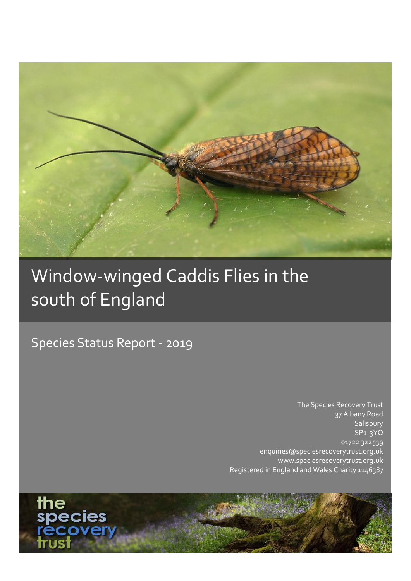

# Window-winged Caddis Flies in the south of England

Species Status Report - 2019

The Species Recovery Trust 37 Albany Road **Salisbury** SP1 3YQ 01722 322539 enquiries@speciesrecoverytrust.org.uk www.speciesrecoverytrust.org.uk Registered in England and Wales Charity 1146387

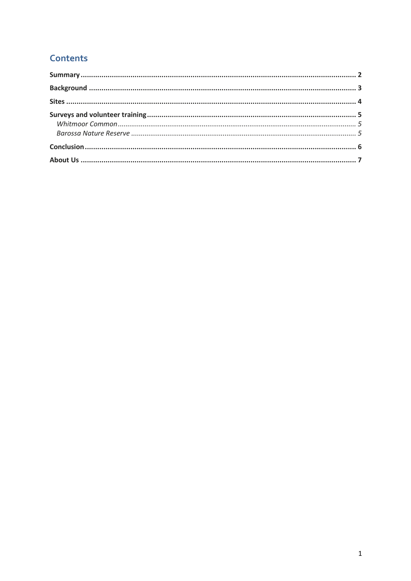#### **Contents**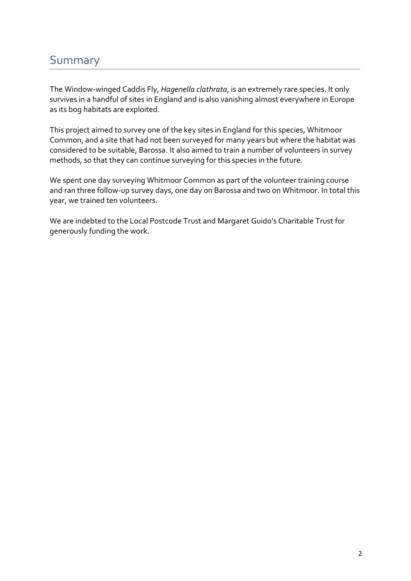# <span id="page-2-0"></span>Summary

The Window-winged Caddis Fly, *Hagenella clathrata*, is an extremely rare species. It only survives in a handful of sites in England and is also vanishing almost everywhere in Europe as its bog habitats are exploited.

This project aimed to survey one of the key sites in England for this species, Whitmoor Common, and a site that had not been surveyed for many years but where the habitat was considered to be suitable, Barossa. It also aimed to train a number of volunteers in survey methods, so that they can continue surveying for this species in the future.

We spent one day surveying Whitmoor Common as part of the volunteer training course and ran three follow-up survey days, one day on Barossa and two on Whitmoor. In total this year, we trained ten volunteers.

We are indebted to the Local Postcode Trust and Margaret Guido's Charitable Trust for generously funding the work.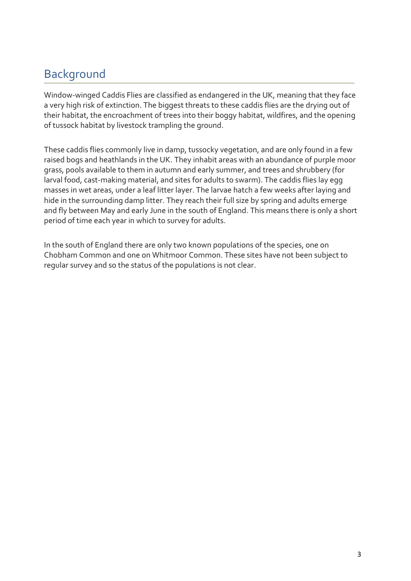## <span id="page-3-0"></span>Background

Window-winged Caddis Flies are classified as endangered in the UK, meaning that they face a very high risk of extinction. The biggest threats to these caddis flies are the drying out of their habitat, the encroachment of trees into their boggy habitat, wildfires, and the opening of tussock habitat by livestock trampling the ground.

These caddis flies commonly live in damp, tussocky vegetation, and are only found in a few raised bogs and heathlands in the UK. They inhabit areas with an abundance of purple moor grass, pools available to them in autumn and early summer, and trees and shrubbery (for larval food, cast-making material, and sites for adults to swarm). The caddis flies lay egg masses in wet areas, under a leaf litter layer. The larvae hatch a few weeks after laying and hide in the surrounding damp litter. They reach their full size by spring and adults emerge and fly between May and early June in the south of England. This means there is only a short period of time each year in which to survey for adults.

In the south of England there are only two known populations of the species, one on Chobham Common and one on Whitmoor Common. These sites have not been subject to regular survey and so the status of the populations is not clear.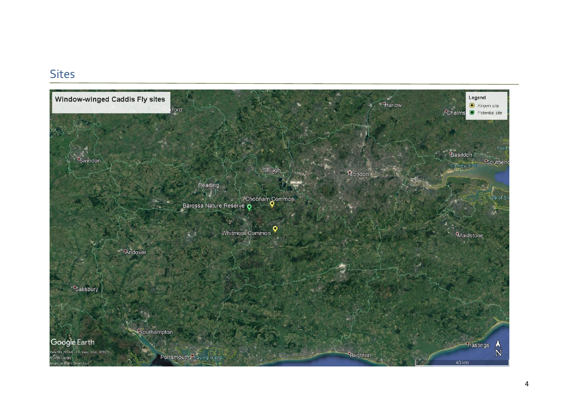#### Sites

<span id="page-4-0"></span>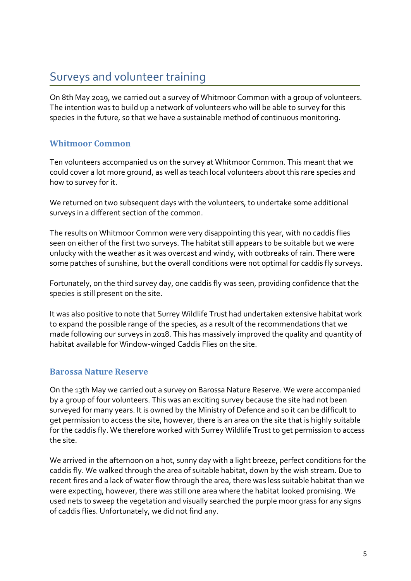## <span id="page-5-0"></span>Surveys and volunteer training

On 8th May 2019, we carried out a survey of Whitmoor Common with a group of volunteers. The intention was to build up a network of volunteers who will be able to survey for this species in the future, so that we have a sustainable method of continuous monitoring.

#### <span id="page-5-1"></span>**Whitmoor Common**

Ten volunteers accompanied us on the survey at Whitmoor Common. This meant that we could cover a lot more ground, as well as teach local volunteers about this rare species and how to survey for it.

We returned on two subsequent days with the volunteers, to undertake some additional surveys in a different section of the common.

The results on Whitmoor Common were very disappointing this year, with no caddis flies seen on either of the first two surveys. The habitat still appears to be suitable but we were unlucky with the weather as it was overcast and windy, with outbreaks of rain. There were some patches of sunshine, but the overall conditions were not optimal for caddis fly surveys.

Fortunately, on the third survey day, one caddis fly was seen, providing confidence that the species is still present on the site.

It was also positive to note that Surrey Wildlife Trust had undertaken extensive habitat work to expand the possible range of the species, as a result of the recommendations that we made following our surveys in 2018. This has massively improved the quality and quantity of habitat available for Window-winged Caddis Flies on the site.

#### <span id="page-5-2"></span>**Barossa Nature Reserve**

On the 13th May we carried out a survey on Barossa Nature Reserve. We were accompanied by a group of four volunteers. This was an exciting survey because the site had not been surveyed for many years. It is owned by the Ministry of Defence and so it can be difficult to get permission to access the site, however, there is an area on the site that is highly suitable for the caddis fly. We therefore worked with Surrey Wildlife Trust to get permission to access the site.

We arrived in the afternoon on a hot, sunny day with a light breeze, perfect conditions for the caddis fly. We walked through the area of suitable habitat, down by the wish stream. Due to recent fires and a lack of water flow through the area, there was less suitable habitat than we were expecting, however, there was still one area where the habitat looked promising. We used nets to sweep the vegetation and visually searched the purple moor grass for any signs of caddis flies. Unfortunately, we did not find any.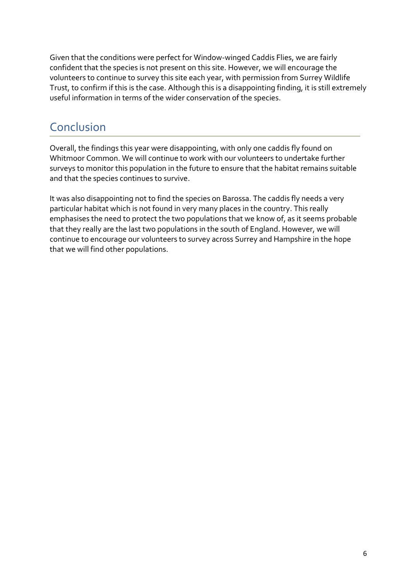Given that the conditions were perfect for Window-winged Caddis Flies, we are fairly confident that the species is not present on this site. However, we will encourage the volunteers to continue to survey this site each year, with permission from Surrey Wildlife Trust, to confirm if this is the case. Although this is a disappointing finding, it is still extremely useful information in terms of the wider conservation of the species.

# <span id="page-6-0"></span>Conclusion

Overall, the findings this year were disappointing, with only one caddis fly found on Whitmoor Common. We will continue to work with our volunteers to undertake further surveys to monitor this population in the future to ensure that the habitat remains suitable and that the species continues to survive.

It was also disappointing not to find the species on Barossa. The caddis fly needs a very particular habitat which is not found in very many places in the country. This really emphasises the need to protect the two populations that we know of, as it seems probable that they really are the last two populations in the south of England. However, we will continue to encourage our volunteers to survey across Surrey and Hampshire in the hope that we will find other populations.